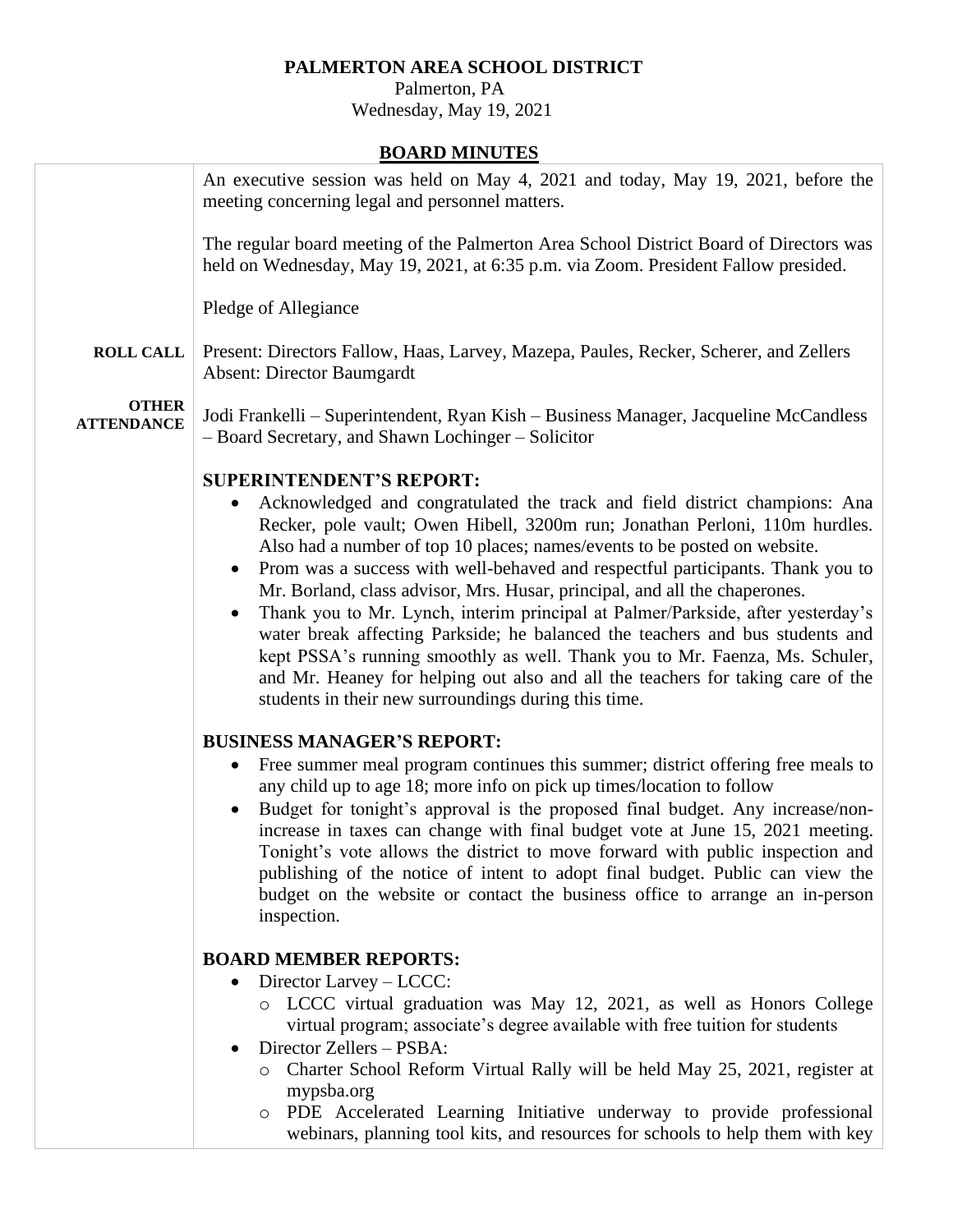# **PALMERTON AREA SCHOOL DISTRICT**

 Palmerton, PA Wednesday, May 19, 2021

# **BOARD MINUTES**

|                                   | An executive session was held on May 4, 2021 and today, May 19, 2021, before the<br>meeting concerning legal and personnel matters.                                                                                                                                                                                                                                                                                                                                                                                                                                                                                                                                                                                                                                                                                                                               |
|-----------------------------------|-------------------------------------------------------------------------------------------------------------------------------------------------------------------------------------------------------------------------------------------------------------------------------------------------------------------------------------------------------------------------------------------------------------------------------------------------------------------------------------------------------------------------------------------------------------------------------------------------------------------------------------------------------------------------------------------------------------------------------------------------------------------------------------------------------------------------------------------------------------------|
|                                   | The regular board meeting of the Palmerton Area School District Board of Directors was<br>held on Wednesday, May 19, 2021, at 6:35 p.m. via Zoom. President Fallow presided.                                                                                                                                                                                                                                                                                                                                                                                                                                                                                                                                                                                                                                                                                      |
|                                   | Pledge of Allegiance                                                                                                                                                                                                                                                                                                                                                                                                                                                                                                                                                                                                                                                                                                                                                                                                                                              |
| <b>ROLL CALL</b>                  | Present: Directors Fallow, Haas, Larvey, Mazepa, Paules, Recker, Scherer, and Zellers<br><b>Absent: Director Baumgardt</b>                                                                                                                                                                                                                                                                                                                                                                                                                                                                                                                                                                                                                                                                                                                                        |
| <b>OTHER</b><br><b>ATTENDANCE</b> | Jodi Frankelli – Superintendent, Ryan Kish – Business Manager, Jacqueline McCandless<br>- Board Secretary, and Shawn Lochinger - Solicitor                                                                                                                                                                                                                                                                                                                                                                                                                                                                                                                                                                                                                                                                                                                        |
|                                   | <b>SUPERINTENDENT'S REPORT:</b><br>Acknowledged and congratulated the track and field district champions: Ana<br>$\bullet$<br>Recker, pole vault; Owen Hibell, 3200m run; Jonathan Perloni, 110m hurdles.<br>Also had a number of top 10 places; names/events to be posted on website.<br>Prom was a success with well-behaved and respectful participants. Thank you to<br>$\bullet$<br>Mr. Borland, class advisor, Mrs. Husar, principal, and all the chaperones.<br>Thank you to Mr. Lynch, interim principal at Palmer/Parkside, after yesterday's<br>water break affecting Parkside; he balanced the teachers and bus students and<br>kept PSSA's running smoothly as well. Thank you to Mr. Faenza, Ms. Schuler,<br>and Mr. Heaney for helping out also and all the teachers for taking care of the<br>students in their new surroundings during this time. |
|                                   | <b>BUSINESS MANAGER'S REPORT:</b><br>Free summer meal program continues this summer; district offering free meals to<br>$\bullet$<br>any child up to age 18; more info on pick up times/location to follow<br>Budget for tonight's approval is the proposed final budget. Any increase/non-<br>$\bullet$<br>increase in taxes can change with final budget vote at June 15, 2021 meeting.<br>Tonight's vote allows the district to move forward with public inspection and<br>publishing of the notice of intent to adopt final budget. Public can view the<br>budget on the website or contact the business office to arrange an in-person<br>inspection.                                                                                                                                                                                                        |
|                                   | <b>BOARD MEMBER REPORTS:</b><br>Director Larvey - LCCC:<br>$\bullet$<br>LCCC virtual graduation was May 12, 2021, as well as Honors College<br>$\circ$<br>virtual program; associate's degree available with free tuition for students<br>Director Zellers - PSBA:<br>Charter School Reform Virtual Rally will be held May 25, 2021, register at<br>$\circ$<br>mypsba.org<br>PDE Accelerated Learning Initiative underway to provide professional<br>$\circ$<br>webinars, planning tool kits, and resources for schools to help them with key                                                                                                                                                                                                                                                                                                                     |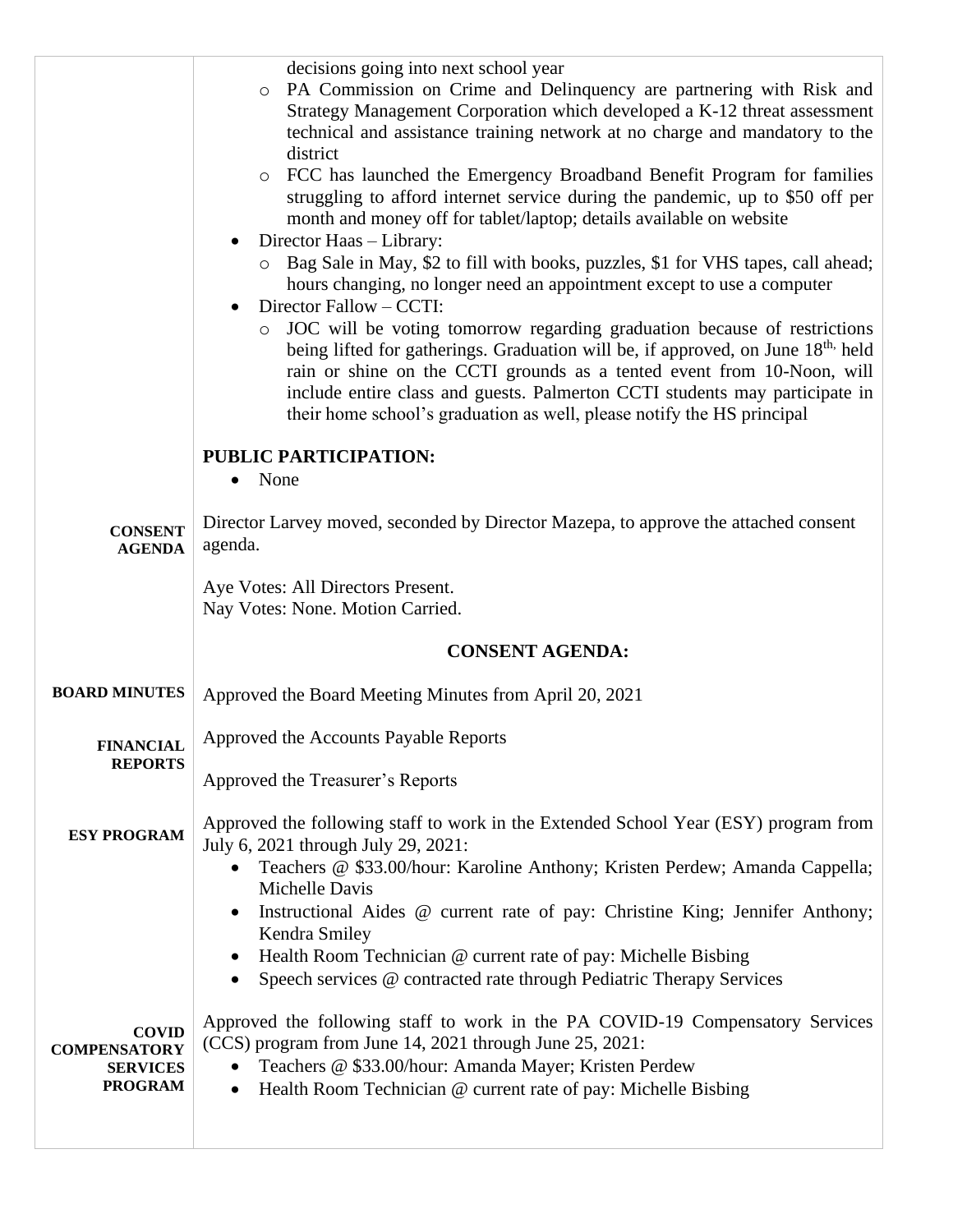|                                                                          | decisions going into next school year<br>PA Commission on Crime and Delinquency are partnering with Risk and<br>$\circ$<br>Strategy Management Corporation which developed a K-12 threat assessment<br>technical and assistance training network at no charge and mandatory to the<br>district<br>FCC has launched the Emergency Broadband Benefit Program for families<br>$\circ$<br>struggling to afford internet service during the pandemic, up to \$50 off per<br>month and money off for tablet/laptop; details available on website<br>Director Haas - Library:<br>Bag Sale in May, \$2 to fill with books, puzzles, \$1 for VHS tapes, call ahead;<br>hours changing, no longer need an appointment except to use a computer<br>Director Fallow - CCTI:<br>JOC will be voting tomorrow regarding graduation because of restrictions<br>$\circ$<br>being lifted for gatherings. Graduation will be, if approved, on June 18 <sup>th,</sup> held<br>rain or shine on the CCTI grounds as a tented event from 10-Noon, will<br>include entire class and guests. Palmerton CCTI students may participate in<br>their home school's graduation as well, please notify the HS principal |
|--------------------------------------------------------------------------|-------------------------------------------------------------------------------------------------------------------------------------------------------------------------------------------------------------------------------------------------------------------------------------------------------------------------------------------------------------------------------------------------------------------------------------------------------------------------------------------------------------------------------------------------------------------------------------------------------------------------------------------------------------------------------------------------------------------------------------------------------------------------------------------------------------------------------------------------------------------------------------------------------------------------------------------------------------------------------------------------------------------------------------------------------------------------------------------------------------------------------------------------------------------------------------------|
|                                                                          | <b>PUBLIC PARTICIPATION:</b><br>None<br>$\bullet$                                                                                                                                                                                                                                                                                                                                                                                                                                                                                                                                                                                                                                                                                                                                                                                                                                                                                                                                                                                                                                                                                                                                         |
| <b>CONSENT</b><br><b>AGENDA</b>                                          | Director Larvey moved, seconded by Director Mazepa, to approve the attached consent<br>agenda.                                                                                                                                                                                                                                                                                                                                                                                                                                                                                                                                                                                                                                                                                                                                                                                                                                                                                                                                                                                                                                                                                            |
|                                                                          | Aye Votes: All Directors Present.<br>Nay Votes: None. Motion Carried.                                                                                                                                                                                                                                                                                                                                                                                                                                                                                                                                                                                                                                                                                                                                                                                                                                                                                                                                                                                                                                                                                                                     |
|                                                                          | <b>CONSENT AGENDA:</b>                                                                                                                                                                                                                                                                                                                                                                                                                                                                                                                                                                                                                                                                                                                                                                                                                                                                                                                                                                                                                                                                                                                                                                    |
| <b>BOARD MINUTES</b>                                                     | Approved the Board Meeting Minutes from April 20, 2021                                                                                                                                                                                                                                                                                                                                                                                                                                                                                                                                                                                                                                                                                                                                                                                                                                                                                                                                                                                                                                                                                                                                    |
| <b>FINANCIAL</b><br><b>REPORTS</b>                                       | Approved the Accounts Payable Reports                                                                                                                                                                                                                                                                                                                                                                                                                                                                                                                                                                                                                                                                                                                                                                                                                                                                                                                                                                                                                                                                                                                                                     |
|                                                                          | Approved the Treasurer's Reports                                                                                                                                                                                                                                                                                                                                                                                                                                                                                                                                                                                                                                                                                                                                                                                                                                                                                                                                                                                                                                                                                                                                                          |
| <b>ESY PROGRAM</b>                                                       | Approved the following staff to work in the Extended School Year (ESY) program from<br>July 6, 2021 through July 29, 2021:<br>Teachers @ \$33.00/hour: Karoline Anthony; Kristen Perdew; Amanda Cappella;<br><b>Michelle Davis</b>                                                                                                                                                                                                                                                                                                                                                                                                                                                                                                                                                                                                                                                                                                                                                                                                                                                                                                                                                        |
|                                                                          | Instructional Aides @ current rate of pay: Christine King; Jennifer Anthony;                                                                                                                                                                                                                                                                                                                                                                                                                                                                                                                                                                                                                                                                                                                                                                                                                                                                                                                                                                                                                                                                                                              |
|                                                                          | Kendra Smiley<br>Health Room Technician @ current rate of pay: Michelle Bisbing<br>Speech services @ contracted rate through Pediatric Therapy Services                                                                                                                                                                                                                                                                                                                                                                                                                                                                                                                                                                                                                                                                                                                                                                                                                                                                                                                                                                                                                                   |
| <b>COVID</b><br><b>COMPENSATORY</b><br><b>SERVICES</b><br><b>PROGRAM</b> | Approved the following staff to work in the PA COVID-19 Compensatory Services<br>(CCS) program from June 14, 2021 through June 25, 2021:<br>Teachers @ \$33.00/hour: Amanda Mayer; Kristen Perdew<br>Health Room Technician @ current rate of pay: Michelle Bisbing                                                                                                                                                                                                                                                                                                                                                                                                                                                                                                                                                                                                                                                                                                                                                                                                                                                                                                                       |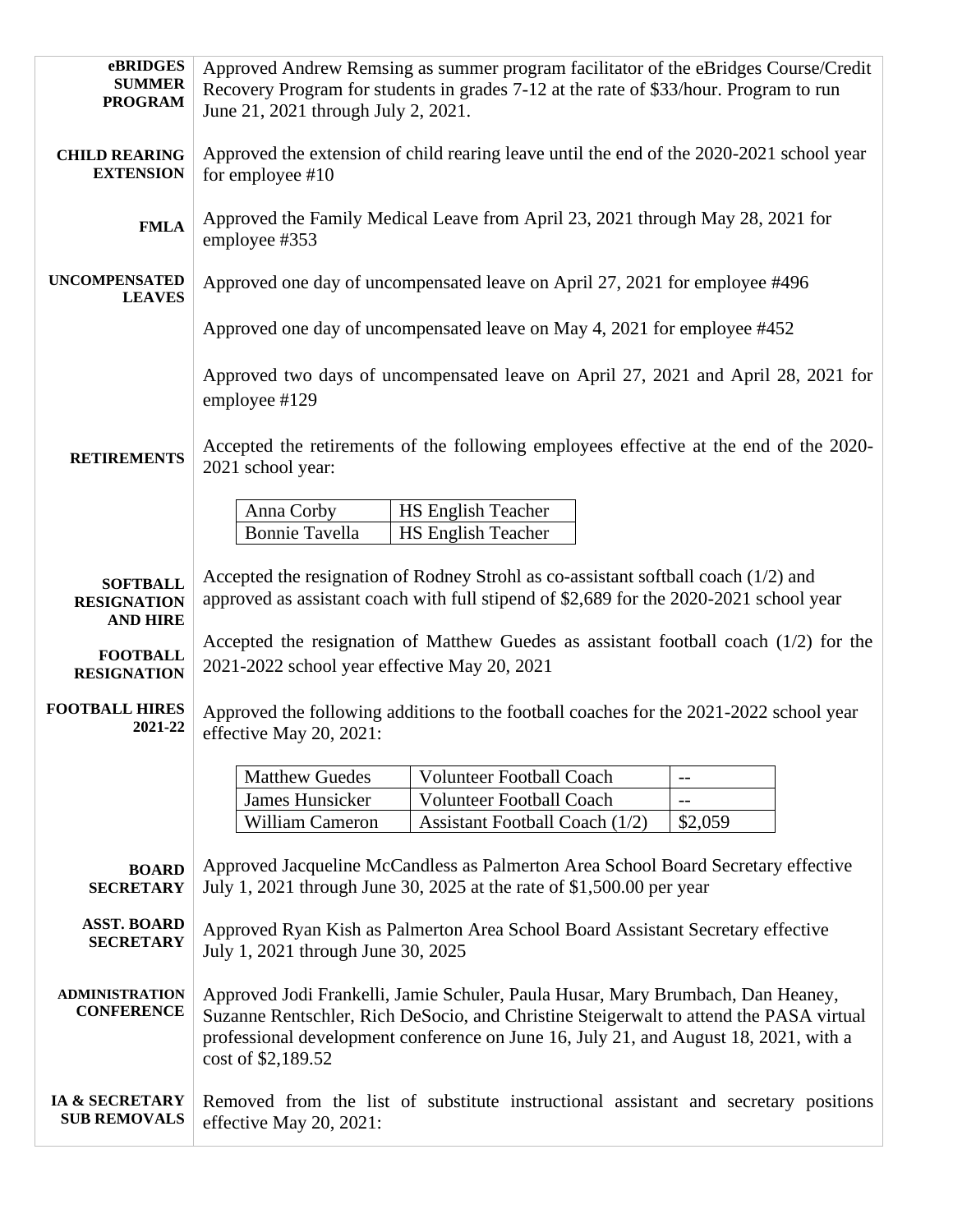| eBRIDGES<br><b>SUMMER</b>                                | Approved Andrew Remsing as summer program facilitator of the eBridges Course/Credit<br>Recovery Program for students in grades 7-12 at the rate of \$33/hour. Program to run                                                                                                            |
|----------------------------------------------------------|-----------------------------------------------------------------------------------------------------------------------------------------------------------------------------------------------------------------------------------------------------------------------------------------|
| <b>PROGRAM</b>                                           | June 21, 2021 through July 2, 2021.                                                                                                                                                                                                                                                     |
| <b>CHILD REARING</b><br><b>EXTENSION</b>                 | Approved the extension of child rearing leave until the end of the 2020-2021 school year<br>for employee #10                                                                                                                                                                            |
| <b>FMLA</b>                                              | Approved the Family Medical Leave from April 23, 2021 through May 28, 2021 for<br>employee #353                                                                                                                                                                                         |
| <b>UNCOMPENSATED</b><br><b>LEAVES</b>                    | Approved one day of uncompensated leave on April 27, 2021 for employee #496                                                                                                                                                                                                             |
|                                                          | Approved one day of uncompensated leave on May 4, 2021 for employee #452                                                                                                                                                                                                                |
|                                                          | Approved two days of uncompensated leave on April 27, 2021 and April 28, 2021 for<br>employee #129                                                                                                                                                                                      |
| <b>RETIREMENTS</b>                                       | Accepted the retirements of the following employees effective at the end of the 2020-<br>2021 school year:                                                                                                                                                                              |
|                                                          | Anna Corby<br><b>HS English Teacher</b>                                                                                                                                                                                                                                                 |
|                                                          | <b>Bonnie Tavella</b><br><b>HS English Teacher</b>                                                                                                                                                                                                                                      |
| <b>SOFTBALL</b><br><b>RESIGNATION</b><br><b>AND HIRE</b> | Accepted the resignation of Rodney Strohl as co-assistant softball coach (1/2) and<br>approved as assistant coach with full stipend of \$2,689 for the 2020-2021 school year                                                                                                            |
| <b>FOOTBALL</b><br><b>RESIGNATION</b>                    | Accepted the resignation of Matthew Guedes as assistant football coach $(1/2)$ for the<br>2021-2022 school year effective May 20, 2021                                                                                                                                                  |
| <b>FOOTBALL HIRES</b><br>2021-22                         | Approved the following additions to the football coaches for the 2021-2022 school year<br>effective May 20, 2021:                                                                                                                                                                       |
|                                                          | <b>Matthew Guedes</b><br><b>Volunteer Football Coach</b><br>$-$                                                                                                                                                                                                                         |
|                                                          | James Hunsicker<br><b>Volunteer Football Coach</b>                                                                                                                                                                                                                                      |
|                                                          | <b>William Cameron</b><br>Assistant Football Coach (1/2)<br>\$2,059                                                                                                                                                                                                                     |
| <b>BOARD</b><br><b>SECRETARY</b>                         | Approved Jacqueline McCandless as Palmerton Area School Board Secretary effective<br>July 1, 2021 through June 30, 2025 at the rate of \$1,500.00 per year                                                                                                                              |
| <b>ASST. BOARD</b><br><b>SECRETARY</b>                   | Approved Ryan Kish as Palmerton Area School Board Assistant Secretary effective<br>July 1, 2021 through June 30, 2025                                                                                                                                                                   |
| <b>ADMINISTRATION</b><br><b>CONFERENCE</b>               | Approved Jodi Frankelli, Jamie Schuler, Paula Husar, Mary Brumbach, Dan Heaney,<br>Suzanne Rentschler, Rich DeSocio, and Christine Steigerwalt to attend the PASA virtual<br>professional development conference on June 16, July 21, and August 18, 2021, with a<br>cost of \$2,189.52 |
| IA & SECRETARY<br><b>SUB REMOVALS</b>                    | Removed from the list of substitute instructional assistant and secretary positions<br>effective May 20, 2021:                                                                                                                                                                          |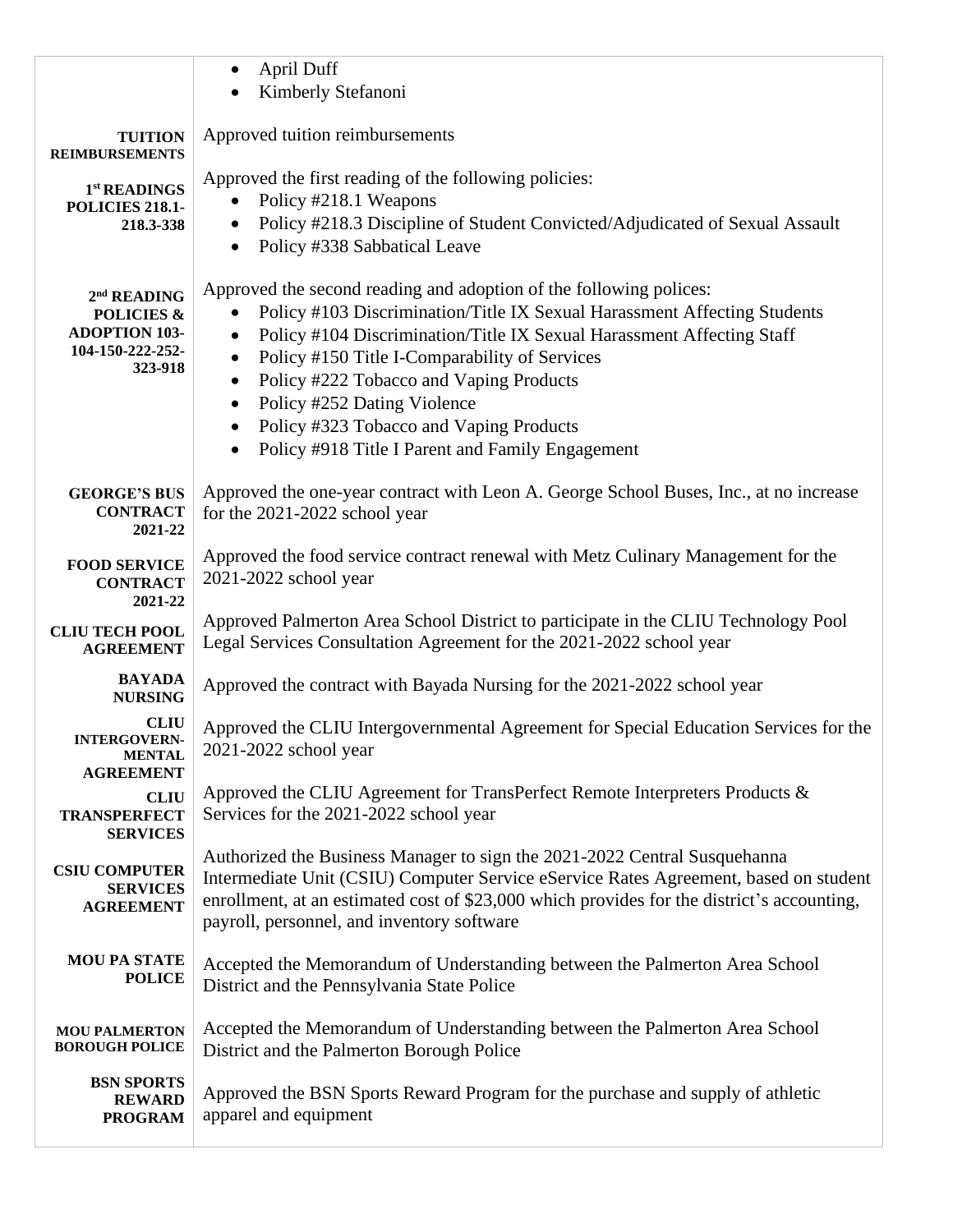|                                                  | April Duff<br>$\bullet$                                                                                                                  |
|--------------------------------------------------|------------------------------------------------------------------------------------------------------------------------------------------|
|                                                  | Kimberly Stefanoni                                                                                                                       |
|                                                  |                                                                                                                                          |
| <b>TUITION</b><br><b>REIMBURSEMENTS</b>          | Approved tuition reimbursements                                                                                                          |
| 1st READINGS                                     | Approved the first reading of the following policies:                                                                                    |
| <b>POLICIES 218.1-</b>                           | Policy #218.1 Weapons                                                                                                                    |
| 218.3-338                                        | Policy #218.3 Discipline of Student Convicted/Adjudicated of Sexual Assault                                                              |
|                                                  | Policy #338 Sabbatical Leave<br>$\bullet$                                                                                                |
|                                                  | Approved the second reading and adoption of the following polices:                                                                       |
| 2 <sup>nd</sup> READING<br><b>POLICIES &amp;</b> | Policy #103 Discrimination/Title IX Sexual Harassment Affecting Students                                                                 |
| <b>ADOPTION 103-</b>                             | Policy #104 Discrimination/Title IX Sexual Harassment Affecting Staff<br>$\bullet$                                                       |
| 104-150-222-252-                                 | Policy #150 Title I-Comparability of Services<br>$\bullet$                                                                               |
| 323-918                                          | Policy #222 Tobacco and Vaping Products                                                                                                  |
|                                                  | Policy #252 Dating Violence                                                                                                              |
|                                                  | Policy #323 Tobacco and Vaping Products                                                                                                  |
|                                                  | Policy #918 Title I Parent and Family Engagement<br>$\bullet$                                                                            |
|                                                  |                                                                                                                                          |
| <b>GEORGE'S BUS</b><br><b>CONTRACT</b>           | Approved the one-year contract with Leon A. George School Buses, Inc., at no increase<br>for the 2021-2022 school year                   |
| 2021-22                                          |                                                                                                                                          |
| <b>FOOD SERVICE</b>                              | Approved the food service contract renewal with Metz Culinary Management for the                                                         |
| <b>CONTRACT</b>                                  | 2021-2022 school year                                                                                                                    |
| 2021-22                                          |                                                                                                                                          |
| <b>CLIU TECH POOL</b>                            | Approved Palmerton Area School District to participate in the CLIU Technology Pool                                                       |
| <b>AGREEMENT</b>                                 | Legal Services Consultation Agreement for the 2021-2022 school year                                                                      |
| <b>BAYADA</b><br><b>NURSING</b>                  | Approved the contract with Bayada Nursing for the 2021-2022 school year                                                                  |
| <b>CLIU</b>                                      |                                                                                                                                          |
| <b>INTERGOVERN-</b>                              | Approved the CLIU Intergovernmental Agreement for Special Education Services for the<br>2021-2022 school year                            |
| <b>MENTAL</b><br><b>AGREEMENT</b>                |                                                                                                                                          |
| <b>CLIU</b>                                      | Approved the CLIU Agreement for TransPerfect Remote Interpreters Products &                                                              |
| <b>TRANSPERFECT</b>                              | Services for the 2021-2022 school year                                                                                                   |
| <b>SERVICES</b>                                  |                                                                                                                                          |
| <b>CSIU COMPUTER</b>                             | Authorized the Business Manager to sign the 2021-2022 Central Susquehanna                                                                |
| <b>SERVICES</b>                                  | Intermediate Unit (CSIU) Computer Service eService Rates Agreement, based on student                                                     |
| <b>AGREEMENT</b>                                 | enrollment, at an estimated cost of \$23,000 which provides for the district's accounting,<br>payroll, personnel, and inventory software |
|                                                  |                                                                                                                                          |
| <b>MOU PA STATE</b>                              | Accepted the Memorandum of Understanding between the Palmerton Area School                                                               |
| <b>POLICE</b>                                    | District and the Pennsylvania State Police                                                                                               |
|                                                  |                                                                                                                                          |
| <b>MOU PALMERTON</b><br><b>BOROUGH POLICE</b>    | Accepted the Memorandum of Understanding between the Palmerton Area School<br>District and the Palmerton Borough Police                  |
|                                                  |                                                                                                                                          |
| <b>BSN SPORTS</b><br><b>REWARD</b>               | Approved the BSN Sports Reward Program for the purchase and supply of athletic                                                           |
| <b>PROGRAM</b>                                   | apparel and equipment                                                                                                                    |
|                                                  |                                                                                                                                          |